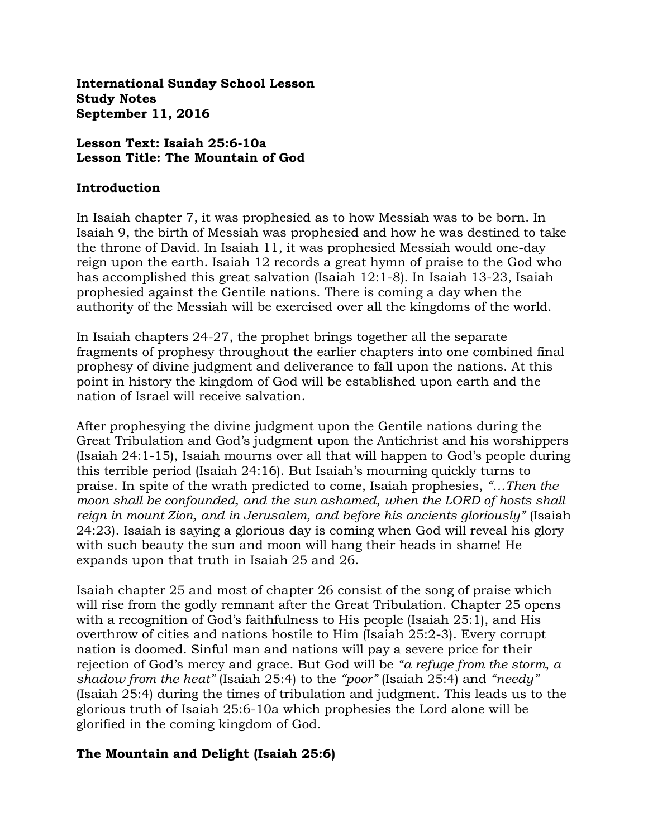**International Sunday School Lesson Study Notes September 11, 2016**

### **Lesson Text: Isaiah 25:6-10a Lesson Title: The Mountain of God**

#### **Introduction**

In Isaiah chapter 7, it was prophesied as to how Messiah was to be born. In Isaiah 9, the birth of Messiah was prophesied and how he was destined to take the throne of David. In Isaiah 11, it was prophesied Messiah would one-day reign upon the earth. Isaiah 12 records a great hymn of praise to the God who has accomplished this great salvation (Isaiah 12:1-8). In Isaiah 13-23, Isaiah prophesied against the Gentile nations. There is coming a day when the authority of the Messiah will be exercised over all the kingdoms of the world.

In Isaiah chapters 24-27, the prophet brings together all the separate fragments of prophesy throughout the earlier chapters into one combined final prophesy of divine judgment and deliverance to fall upon the nations. At this point in history the kingdom of God will be established upon earth and the nation of Israel will receive salvation.

After prophesying the divine judgment upon the Gentile nations during the Great Tribulation and God's judgment upon the Antichrist and his worshippers (Isaiah 24:1-15), Isaiah mourns over all that will happen to God's people during this terrible period (Isaiah 24:16). But Isaiah's mourning quickly turns to praise. In spite of the wrath predicted to come, Isaiah prophesies, *"…Then the moon shall be confounded, and the sun ashamed, when the LORD of hosts shall reign in mount Zion, and in Jerusalem, and before his ancients gloriously"* (Isaiah 24:23). Isaiah is saying a glorious day is coming when God will reveal his glory with such beauty the sun and moon will hang their heads in shame! He expands upon that truth in Isaiah 25 and 26.

Isaiah chapter 25 and most of chapter 26 consist of the song of praise which will rise from the godly remnant after the Great Tribulation. Chapter 25 opens with a recognition of God's faithfulness to His people (Isaiah 25:1), and His overthrow of cities and nations hostile to Him (Isaiah 25:2-3). Every corrupt nation is doomed. Sinful man and nations will pay a severe price for their rejection of God's mercy and grace. But God will be *"a refuge from the storm, a shadow from the heat"* (Isaiah 25:4) to the *"poor"* (Isaiah 25:4) and *"needy"* (Isaiah 25:4) during the times of tribulation and judgment. This leads us to the glorious truth of Isaiah 25:6-10a which prophesies the Lord alone will be glorified in the coming kingdom of God.

### **The Mountain and Delight (Isaiah 25:6)**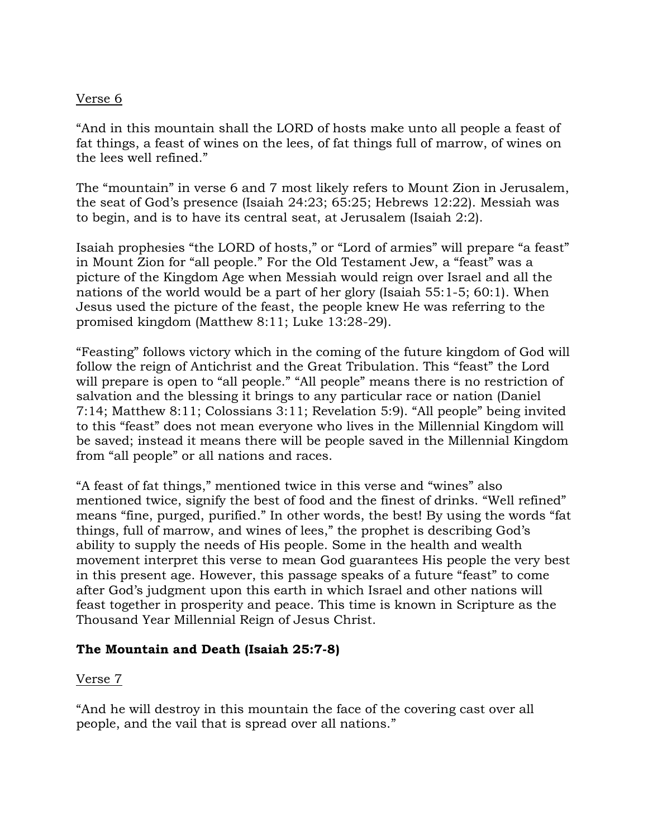### Verse 6

"And in this mountain shall the LORD of hosts make unto all people a feast of fat things, a feast of wines on the lees, of fat things full of marrow, of wines on the lees well refined."

The "mountain" in verse 6 and 7 most likely refers to Mount Zion in Jerusalem, the seat of God's presence (Isaiah 24:23; 65:25; Hebrews 12:22). Messiah was to begin, and is to have its central seat, at Jerusalem (Isaiah 2:2).

Isaiah prophesies "the LORD of hosts," or "Lord of armies" will prepare "a feast" in Mount Zion for "all people." For the Old Testament Jew, a "feast" was a picture of the Kingdom Age when Messiah would reign over Israel and all the nations of the world would be a part of her glory (Isaiah 55:1-5; 60:1). When Jesus used the picture of the feast, the people knew He was referring to the promised kingdom (Matthew 8:11; Luke 13:28-29).

"Feasting" follows victory which in the coming of the future kingdom of God will follow the reign of Antichrist and the Great Tribulation. This "feast" the Lord will prepare is open to "all people." "All people" means there is no restriction of salvation and the blessing it brings to any particular race or nation (Daniel 7:14; Matthew 8:11; Colossians 3:11; Revelation 5:9). "All people" being invited to this "feast" does not mean everyone who lives in the Millennial Kingdom will be saved; instead it means there will be people saved in the Millennial Kingdom from "all people" or all nations and races.

"A feast of fat things," mentioned twice in this verse and "wines" also mentioned twice, signify the best of food and the finest of drinks. "Well refined" means "fine, purged, purified." In other words, the best! By using the words "fat things, full of marrow, and wines of lees," the prophet is describing God's ability to supply the needs of His people. Some in the health and wealth movement interpret this verse to mean God guarantees His people the very best in this present age. However, this passage speaks of a future "feast" to come after God's judgment upon this earth in which Israel and other nations will feast together in prosperity and peace. This time is known in Scripture as the Thousand Year Millennial Reign of Jesus Christ.

# **The Mountain and Death (Isaiah 25:7-8)**

### Verse 7

"And he will destroy in this mountain the face of the covering cast over all people, and the vail that is spread over all nations."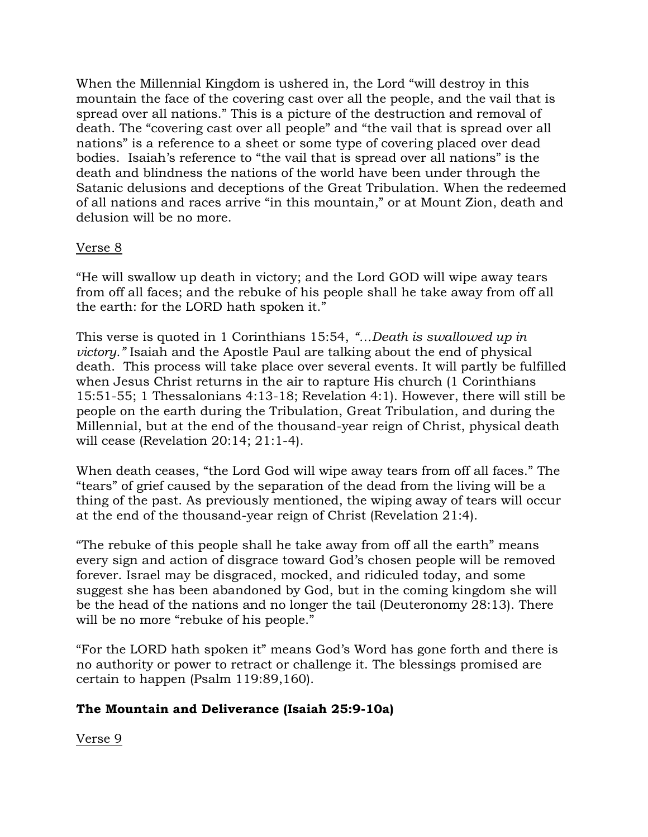When the Millennial Kingdom is ushered in, the Lord "will destroy in this mountain the face of the covering cast over all the people, and the vail that is spread over all nations." This is a picture of the destruction and removal of death. The "covering cast over all people" and "the vail that is spread over all nations" is a reference to a sheet or some type of covering placed over dead bodies. Isaiah's reference to "the vail that is spread over all nations" is the death and blindness the nations of the world have been under through the Satanic delusions and deceptions of the Great Tribulation. When the redeemed of all nations and races arrive "in this mountain," or at Mount Zion, death and delusion will be no more.

### Verse 8

"He will swallow up death in victory; and the Lord GOD will wipe away tears from off all faces; and the rebuke of his people shall he take away from off all the earth: for the LORD hath spoken it."

This verse is quoted in 1 Corinthians 15:54, *"…Death is swallowed up in victory."* Isaiah and the Apostle Paul are talking about the end of physical death. This process will take place over several events. It will partly be fulfilled when Jesus Christ returns in the air to rapture His church (1 Corinthians 15:51-55; 1 Thessalonians 4:13-18; Revelation 4:1). However, there will still be people on the earth during the Tribulation, Great Tribulation, and during the Millennial, but at the end of the thousand-year reign of Christ, physical death will cease (Revelation 20:14; 21:1-4).

When death ceases, "the Lord God will wipe away tears from off all faces." The "tears" of grief caused by the separation of the dead from the living will be a thing of the past. As previously mentioned, the wiping away of tears will occur at the end of the thousand-year reign of Christ (Revelation 21:4).

"The rebuke of this people shall he take away from off all the earth" means every sign and action of disgrace toward God's chosen people will be removed forever. Israel may be disgraced, mocked, and ridiculed today, and some suggest she has been abandoned by God, but in the coming kingdom she will be the head of the nations and no longer the tail (Deuteronomy 28:13). There will be no more "rebuke of his people."

"For the LORD hath spoken it" means God's Word has gone forth and there is no authority or power to retract or challenge it. The blessings promised are certain to happen (Psalm 119:89,160).

# **The Mountain and Deliverance (Isaiah 25:9-10a)**

Verse 9